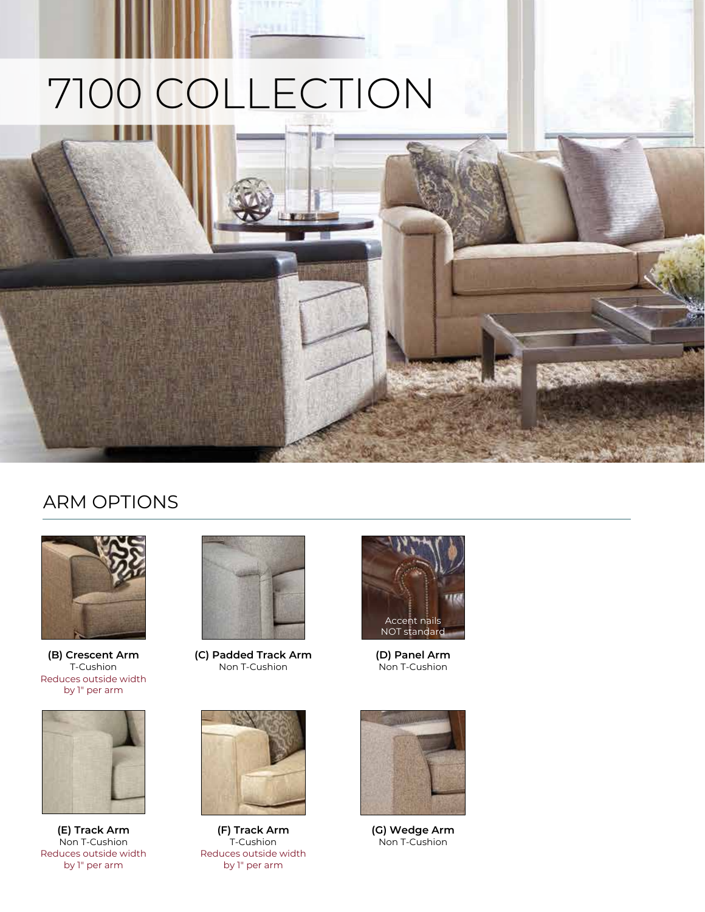# 7100 COLLECTION



#### ARM OPTIONS



**(B) Crescent Arm** T-Cushion Reduces outside width by 1" per arm



**(C) Padded Track Arm** Non T-Cushion



**(E) Track Arm** Non T-Cushion Reduces outside width by 1" per arm



**(F) Track Arm** T-Cushion Reduces outside width by 1" per arm



**(D) Panel Arm** Non T-Cushion



**(G) Wedge Arm** Non T-Cushion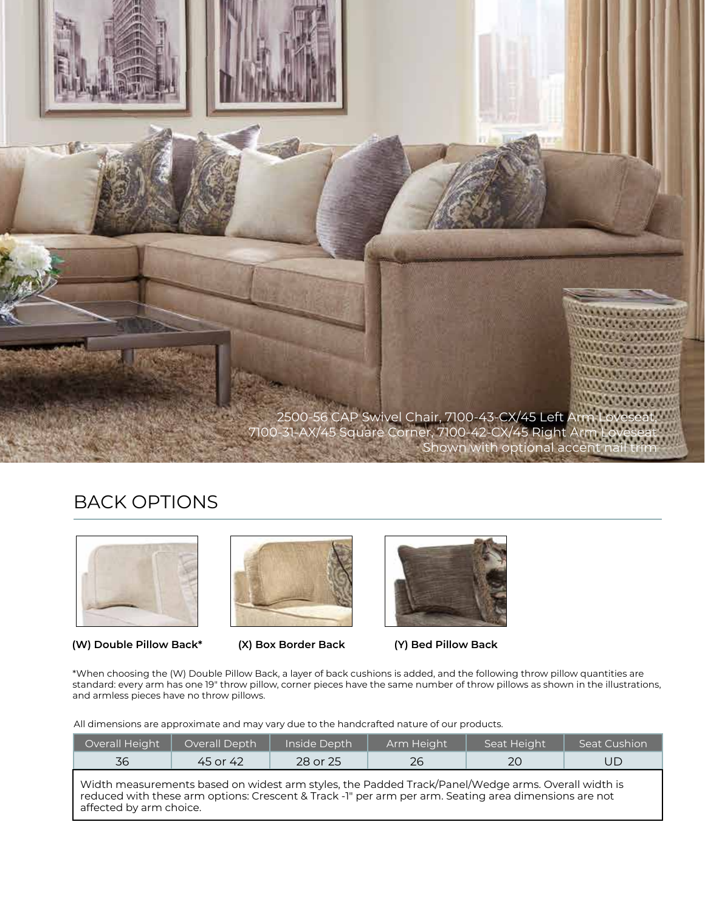

### BACK OPTIONS





**(W) Double Pillow Back\***



**(X) Box Border Back (Y) Bed Pillow Back**

\*When choosing the (W) Double Pillow Back, a layer of back cushions is added, and the following throw pillow quantities are standard: every arm has one 19" throw pillow, corner pieces have the same number of throw pillows as shown in the illustrations, and armless pieces have no throw pillows.

All dimensions are approximate and may vary due to the handcrafted nature of our products.

| Overall Height                                                                                                                                                                                                                         | Overall Depth | Inside Depth | Arm Height | Seat Height | Seat Cushion |  |  |  |  |
|----------------------------------------------------------------------------------------------------------------------------------------------------------------------------------------------------------------------------------------|---------------|--------------|------------|-------------|--------------|--|--|--|--|
| 36.                                                                                                                                                                                                                                    | 45 or 42      | 28 or 25     | 26         | 20          | UD           |  |  |  |  |
| Width measurements based on widest arm styles, the Padded Track/Panel/Wedge arms. Overall width is<br>reduced with these arm options: Crescent & Track -1" per arm per arm. Seating area dimensions are not<br>affected by arm choice. |               |              |            |             |              |  |  |  |  |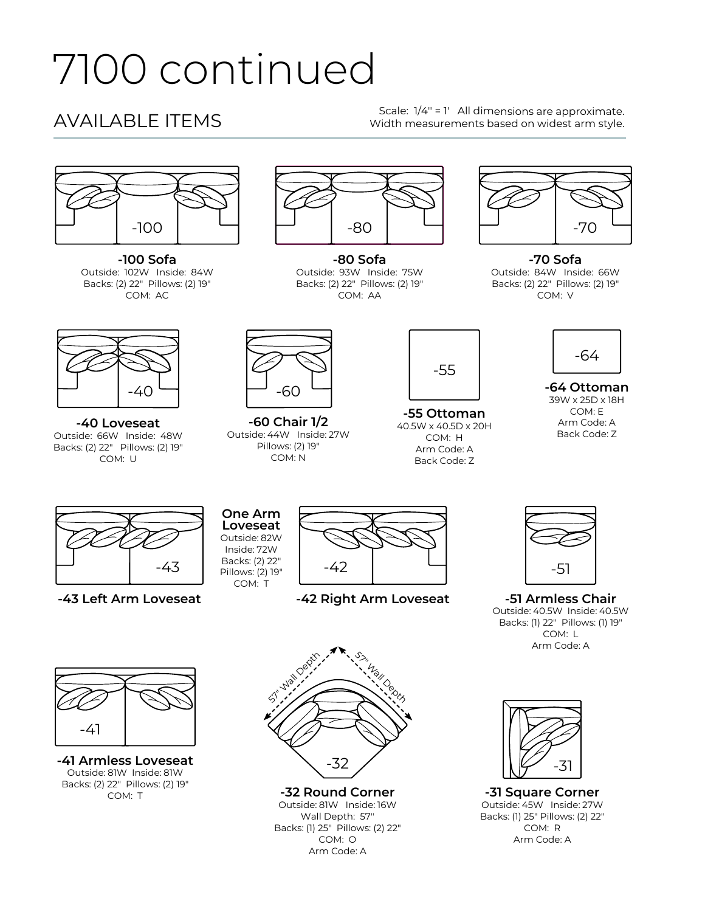## 7100 continued

### AVAILABLE ITEMS

Scale:  $1/4$ " = 1' All dimensions are approximate. Width measurements based on widest arm style.



**-100 Sofa** Outside: 102W Inside: 84W Backs: (2) 22" Pillows: (2) 19" COM: AC



**-80 Sofa** Outside: 93W Inside: 75W Backs: (2) 22" Pillows: (2) 19" COM: AA



**-70 Sofa** Outside: 84W Inside: 66W Backs: (2) 22" Pillows: (2) 19" COM: V



**-40 Loveseat** Outside: 66W Inside: 48W Backs: (2) 22" Pillows: (2) 19" COM: U



**-60 Chair 1/2** Outside: 44W Inside: 27W Pillows: (2) 19" COM: N



**-55 Ottoman** 40.5W x 40.5D x 20H COM: H Arm Code: A Back Code: Z



**-64 Ottoman** 39W x 25D x 18H COM: E Arm Code: A Back Code: Z





COM: T



**-43 Left Arm Loveseat -42 Right Arm Loveseat**



**-51 Armless Chair** Outside: 40.5W Inside: 40.5W Backs: (1) 22" Pillows: (1) 19" COM: L Arm Code: A



**-41 Armless Loveseat**  $\qquad \qquad \diagdown$  -32 Outside: 81W Inside: 81W Backs: (2) 22" Pillows: (2) 19" COM: T



**-32 Round Corner** Outside: 81W Inside: 16W Wall Depth: 57'' Backs: (1) 25" Pillows: (2) 22" COM: O Arm Code: A



**-31 Square Corner** Outside: 45W Inside: 27W Backs: (1) 25" Pillows: (2) 22" COM: R Arm Code: A